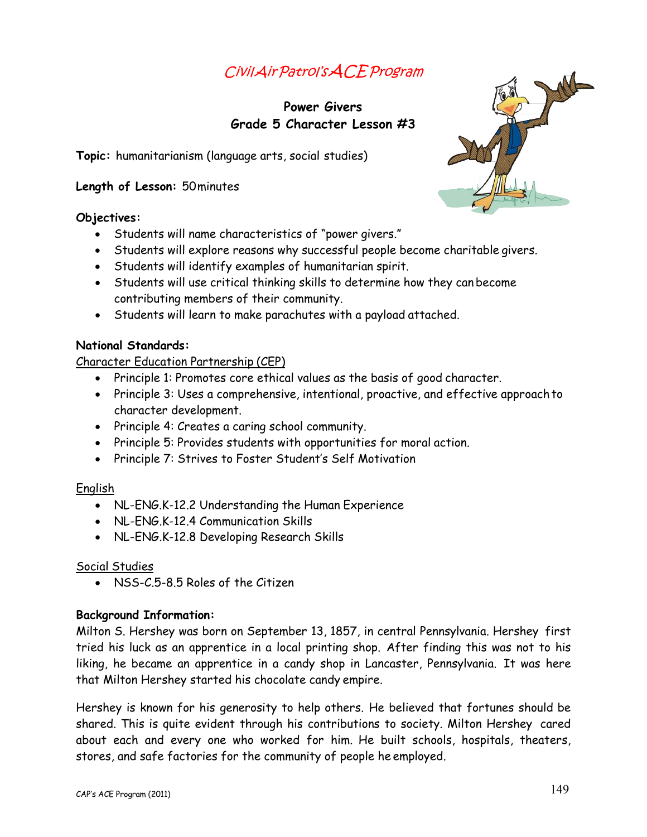# Civil Air Patrol's ACE Program

## Power Givers Grade 5 Character Lesson #3

Topic: humanitarianism (language arts, social studies)

#### Length of Lesson: 50 minutes

#### Objectives:

- Students will name characteristics of "power givers."
- Students will explore reasons why successful people become charitable givers.
- Students will identify examples of humanitarian spirit.
- Students will use critical thinking skills to determine how they can become contributing members of their community.
- Students will learn to make parachutes with a payload attached.

#### **National Standards:**

#### **Character Education Partnership (CEP)**

- Principle 1: Promotes core ethical values as the basis of good character.
- Principle 3: Uses a comprehensive, intentional, proactive, and effective approach to character development.
- Principle 4: Creates a caring school community.
- Principle 5: Provides students with opportunities for moral action.
- Principle 7: Strives to Foster Student's Self Motivation

## English

- NL-ENG.K-12.2 Understanding the Human Experience
- NL-ENG.K-12.4 Communication Skills
- NL-ENG.K-12.8 Developing Research Skills

#### Social Studies

• NSS-C.5-8.5 Roles of the Citizen

#### **Background Information:**

Milton S. Hershey was born on September 13, 1857, in central Pennsylvania. Hershey first tried his luck as an apprentice in a local printing shop. After finding this was not to his liking, he became an apprentice in a candy shop in Lancaster, Pennsylvania. It was here that Milton Hershey started his chocolate candy empire.

Hershey is known for his generosity to help others. He believed that fortunes should be shared. This is quite evident through his contributions to society. Milton Hershey cared about each and every one who worked for him. He built schools, hospitals, theaters, stores, and safe factories for the community of people he employed.

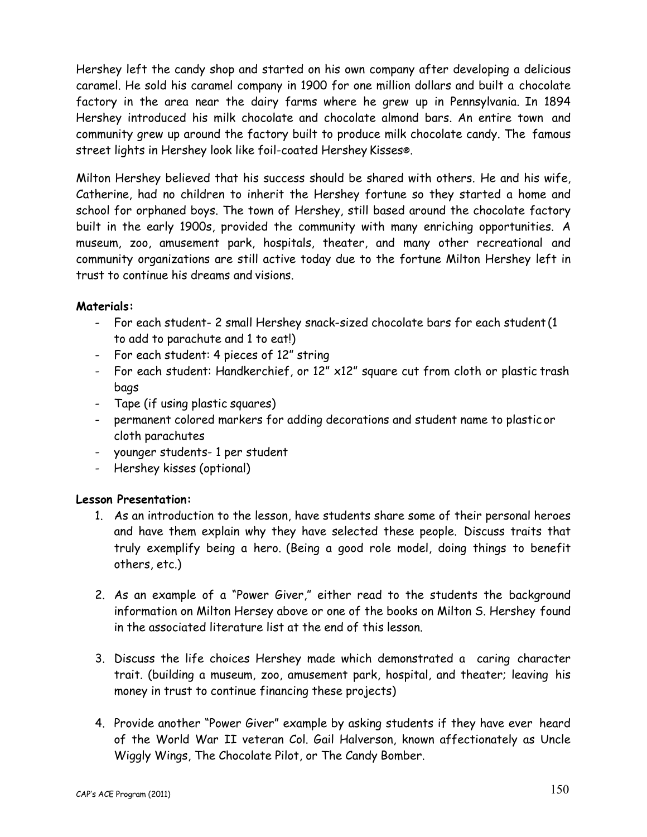Hershey left the candy shop and started on his own company after developing a delicious caramel. He sold his caramel company in 1900 for one million dollars and built a chocolate factory in the area near the dairy farms where he grew up in Pennsylvania. In 1894 Hershey introduced his milk chocolate and chocolate almond bars. An entire town and community grew up around the factory built to produce milk chocolate candy. The famous street lights in Hershey look like foil-coated Hershey Kisses®.

Milton Hershey believed that his success should be shared with others. He and his wife, Catherine, had no children to inherit the Hershey fortune so they started a home and school for orphaned boys. The town of Hershey, still based around the chocolate factory built in the early 1900s, provided the community with many enriching opportunities. A museum, zoo, amusement park, hospitals, theater, and many other recreational and community organizations are still active today due to the fortune Milton Hershey left in trust to continue his dreams and visions.

#### **Materials:**

- For each student- 2 small Hershey snack-sized chocolate bars for each student (1) to add to parachute and 1 to eat!)
- For each student: 4 pieces of 12" string
- For each student: Handkerchief, or 12" x12" square cut from cloth or plastic trash bags
- Tape (if using plastic squares)
- permanent colored markers for adding decorations and student name to plastic or cloth parachutes
- younger students- 1 per student
- Hershey kisses (optional)

#### **Lesson Presentation:**

- 1. As an introduction to the lesson, have students share some of their personal heroes and have them explain why they have selected these people. Discuss traits that truly exemplify being a hero. (Being a good role model, doing things to benefit others, etc.)
- 2. As an example of a "Power Giver," either read to the students the background information on Milton Hersey above or one of the books on Milton S. Hershey found in the associated literature list at the end of this lesson.
- 3. Discuss the life choices Hershey made which demonstrated a caring character trait. (building a museum, zoo, amusement park, hospital, and theater; leaving his money in trust to continue financing these projects)
- 4. Provide another "Power Giver" example by asking students if they have ever heard of the World War II veteran Col. Gail Halverson, known affectionately as Uncle Wiggly Wings, The Chocolate Pilot, or The Candy Bomber.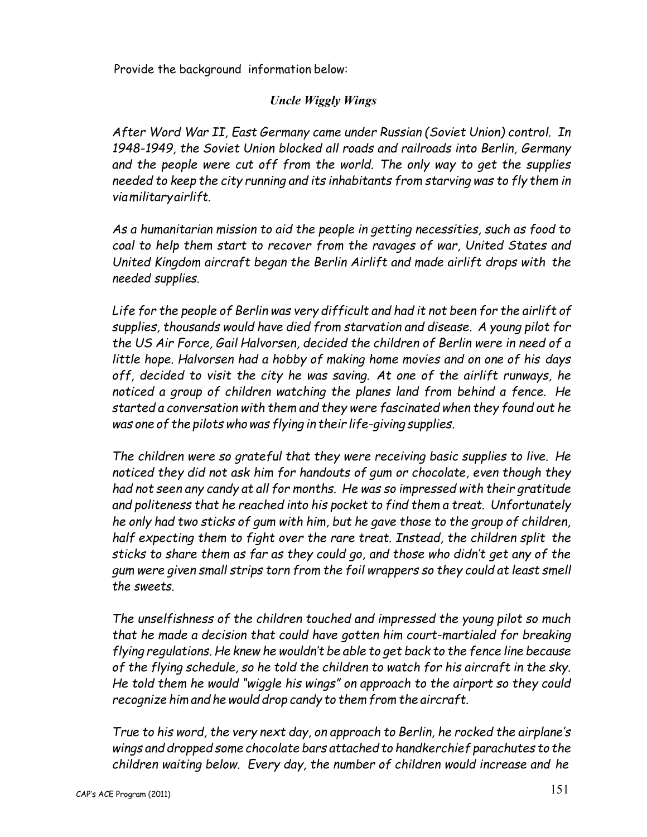Provide the background information below:

## **Uncle Wiggly Wings**

After Word War II, East Germany came under Russian (Soviet Union) control. In 1948-1949, the Soviet Union blocked all roads and railroads into Berlin, Germany and the people were cut off from the world. The only way to get the supplies needed to keep the city running and its inhabitants from starving was to fly them in viamilitaryairlift.

As a humanitarian mission to aid the people in getting necessities, such as food to coal to help them start to recover from the ravages of war, United States and United Kingdom aircraft began the Berlin Airlift and made airlift drops with the needed supplies.

Life for the people of Berlin was very difficult and had it not been for the airlift of supplies, thousands would have died from starvation and disease. A young pilot for the US Air Force, Gail Halvorsen, decided the children of Berlin were in need of a little hope. Halvorsen had a hobby of making home movies and on one of his days off, decided to visit the city he was saving. At one of the airlift runways, he noticed a group of children watching the planes land from behind a fence. He started a conversation with them and they were fascinated when they found out he was one of the pilots who was flying in their life-giving supplies.

The children were so grateful that they were receiving basic supplies to live. He noticed they did not ask him for handouts of gum or chocolate, even though they had not seen any candy at all for months. He was so impressed with their gratitude and politeness that he reached into his pocket to find them a treat. Unfortunately he only had two sticks of gum with him, but he gave those to the group of children, half expecting them to fight over the rare treat. Instead, the children split the sticks to share them as far as they could go, and those who didn't get any of the gum were given small strips torn from the foil wrappers so they could at least smell the sweets

The unselfishness of the children touched and impressed the young pilot so much that he made a decision that could have gotten him court-martialed for breaking flying regulations. He knew he wouldn't be able to get back to the fence line because of the flying schedule, so he told the children to watch for his aircraft in the sky. He told them he would "wiggle his wings" on approach to the airport so they could recognize him and he would drop candy to them from the aircraft.

True to his word, the very next day, on approach to Berlin, he rocked the airplane's wings and dropped some chocolate bars attached to handkerchief parachutes to the children waiting below. Every day, the number of children would increase and he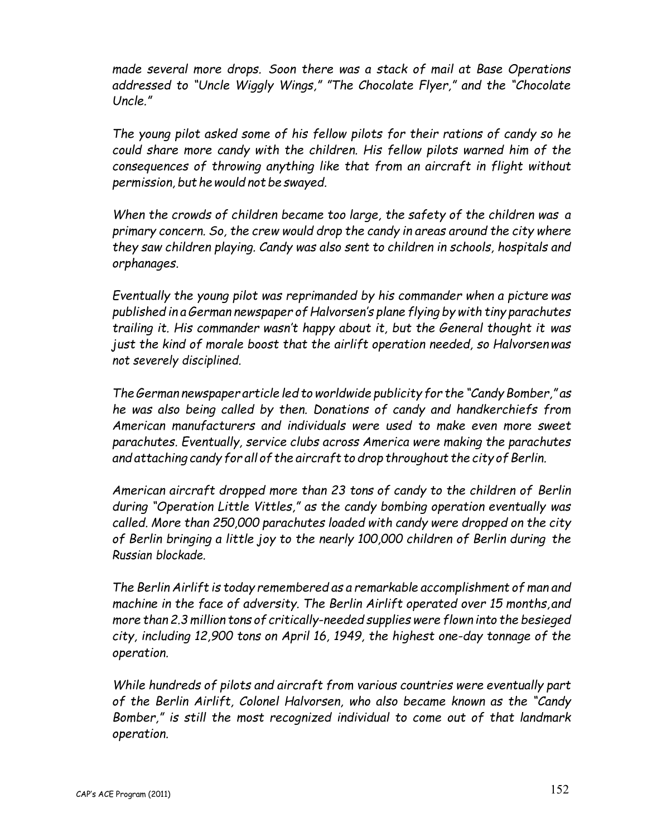made several more drops. Soon there was a stack of mail at Base Operations addressed to "Uncle Wiggly Wings," "The Chocolate Flyer," and the "Chocolate Uncle."

The young pilot asked some of his fellow pilots for their rations of candy so he could share more candy with the children. His fellow pilots warned him of the consequences of throwing anything like that from an aircraft in flight without permission, but he would not be swayed.

When the crowds of children became too large, the safety of the children was a primary concern. So, the crew would drop the candy in areas around the city where they saw children playing. Candy was also sent to children in schools, hospitals and orphanages.

Eventually the young pilot was reprimanded by his commander when a picture was published in a German newspaper of Halvorsen's plane flying by with tiny parachutes trailing it. His commander wasn't happy about it, but the General thought it was just the kind of morale boost that the airlift operation needed, so Halvorsenwas not severely disciplined.

The German newspaper article led to worldwide publicity for the "Candy Bomber," as he was also being called by then. Donations of candy and handkerchiefs from American manufacturers and individuals were used to make even more sweet parachutes. Eventually, service clubs across America were making the parachutes and attaching candy for all of the aircraft to drop throughout the city of Berlin.

American aircraft dropped more than 23 tons of candy to the children of Berlin during "Operation Little Vittles," as the candy bombing operation eventually was called. More than 250,000 parachutes loaded with candy were dropped on the city of Berlin bringing a little joy to the nearly 100,000 children of Berlin during the Russian blockade

The Berlin Airlift is today remembered as a remarkable accomplishment of man and machine in the face of adversity. The Berlin Airlift operated over 15 months, and more than 2.3 million tons of critically-needed supplies were flown into the besieged city, including 12,900 tons on April 16, 1949, the highest one-day tonnage of the operation.

While hundreds of pilots and aircraft from various countries were eventually part of the Berlin Airlift, Colonel Halvorsen, who also became known as the "Candy Bomber," is still the most recognized individual to come out of that landmark operation.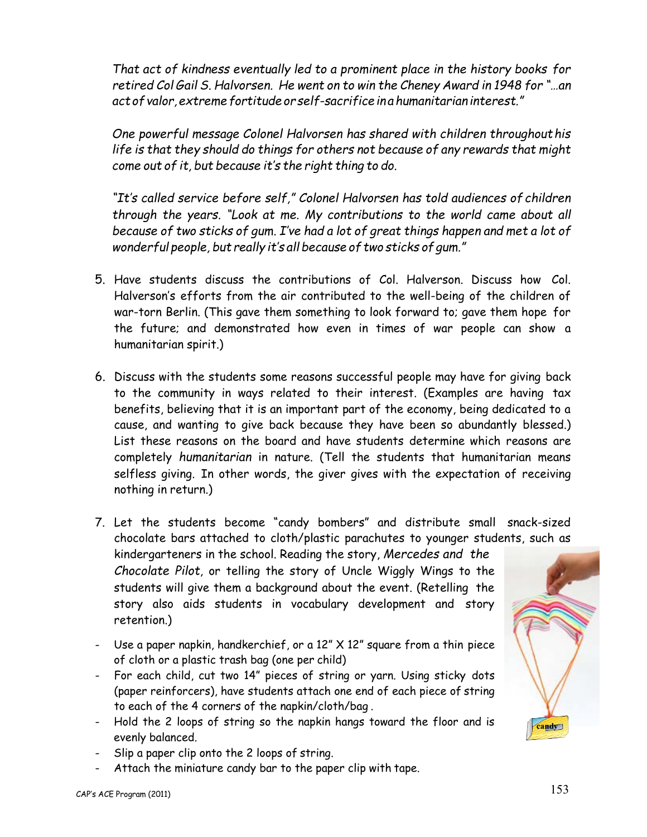That act of kindness eventually led to a prominent place in the history books for retired Col Gail S. Halvorsen. He went on to win the Cheney Award in 1948 for "...an act of valor, extreme fortitude or self-sacrifice in a humanitarian interest."

One powerful message Colonel Halvorsen has shared with children throughout his life is that they should do things for others not because of any rewards that might come out of it, but because it's the right thing to do.

"It's called service before self," Colonel Halvorsen has told audiences of children through the years. "Look at me. My contributions to the world came about all because of two sticks of gum. I've had a lot of great things happen and met a lot of wonderful people, but really it's all because of two sticks of gum."

- 5. Have students discuss the contributions of Col. Halverson. Discuss how Col. Halverson's efforts from the air contributed to the well-being of the children of war-torn Berlin. (This gave them something to look forward to; gave them hope for the future; and demonstrated how even in times of war people can show a humanitarian spirit.)
- 6. Discuss with the students some reasons successful people may have for giving back to the community in ways related to their interest. (Examples are having tax benefits, believing that it is an important part of the economy, being dedicated to a cause, and wanting to give back because they have been so abundantly blessed.) List these reasons on the board and have students determine which reasons are completely humanitarian in nature. (Tell the students that humanitarian means selfless giving. In other words, the giver gives with the expectation of receiving nothing in return.)
- 7. Let the students become "candy bombers" and distribute small snack-sized chocolate bars attached to cloth/plastic parachutes to younger students, such as kindergarteners in the school. Reading the story, Mercedes and the Chocolate Pilot, or telling the story of Uncle Wiggly Wings to the students will give them a background about the event. (Retelling the story also aids students in vocabulary development and story retention.)
- Use a paper napkin, handkerchief, or a  $12''$  X  $12''$  square from a thin piece of cloth or a plastic trash bag (one per child)
- For each child, cut two 14" pieces of string or yarn. Using sticky dots (paper reinforcers), have students attach one end of each piece of string to each of the 4 corners of the napkin/cloth/bag.
- Hold the 2 loops of string so the napkin hangs toward the floor and is evenly balanced.
- Slip a paper clip onto the 2 loops of string.
- Attach the miniature candy bar to the paper clip with tape.

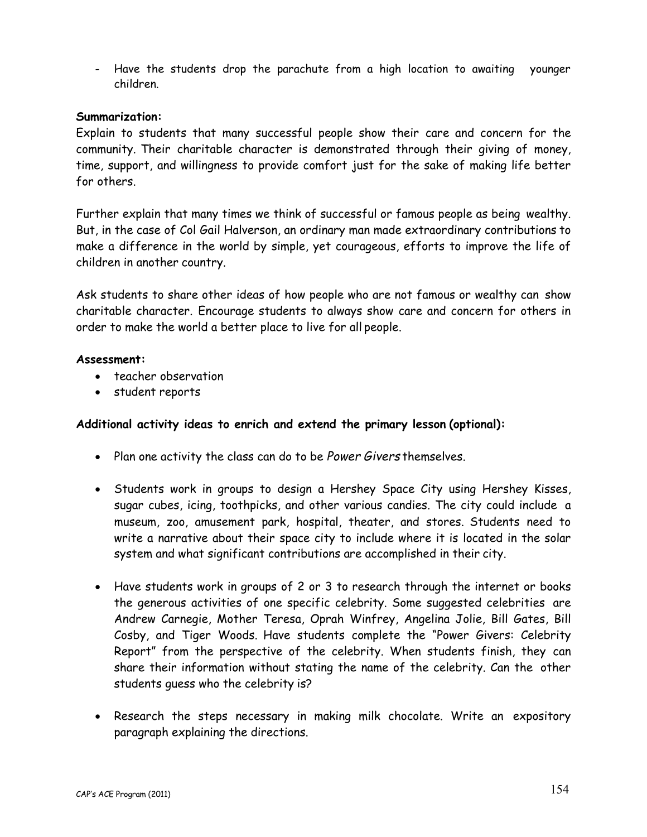- Have the students drop the parachute from a high location to awaiting younger children

#### Summarization:

Explain to students that many successful people show their care and concern for the community. Their charitable character is demonstrated through their giving of money, time, support, and willingness to provide comfort just for the sake of making life better for others.

Further explain that many times we think of successful or famous people as being wealthy. But, in the case of Col Gail Halverson, an ordinary man made extraordinary contributions to make a difference in the world by simple, yet courageous, efforts to improve the life of children in another country.

Ask students to share other ideas of how people who are not famous or wealthy can show charitable character. Encourage students to always show care and concern for others in order to make the world a better place to live for all people.

#### Assessment:

- teacher observation
- student reports

#### Additional activity ideas to enrich and extend the primary lesson (optional):

- Plan one activity the class can do to be Power Givers themselves.
- Students work in groups to design a Hershey Space City using Hershey Kisses, sugar cubes, icing, toothpicks, and other various candies. The city could include a museum, zoo, amusement park, hospital, theater, and stores. Students need to write a narrative about their space city to include where it is located in the solar system and what significant contributions are accomplished in their city.
- Have students work in groups of 2 or 3 to research through the internet or books the generous activities of one specific celebrity. Some suggested celebrities are Andrew Carnegie, Mother Teresa, Oprah Winfrey, Angelina Jolie, Bill Gates, Bill Cosby, and Tiger Woods. Have students complete the "Power Givers: Celebrity Report" from the perspective of the celebrity. When students finish, they can share their information without stating the name of the celebrity. Can the other students quess who the celebrity is?
- Research the steps necessary in making milk chocolate. Write an expository paragraph explaining the directions.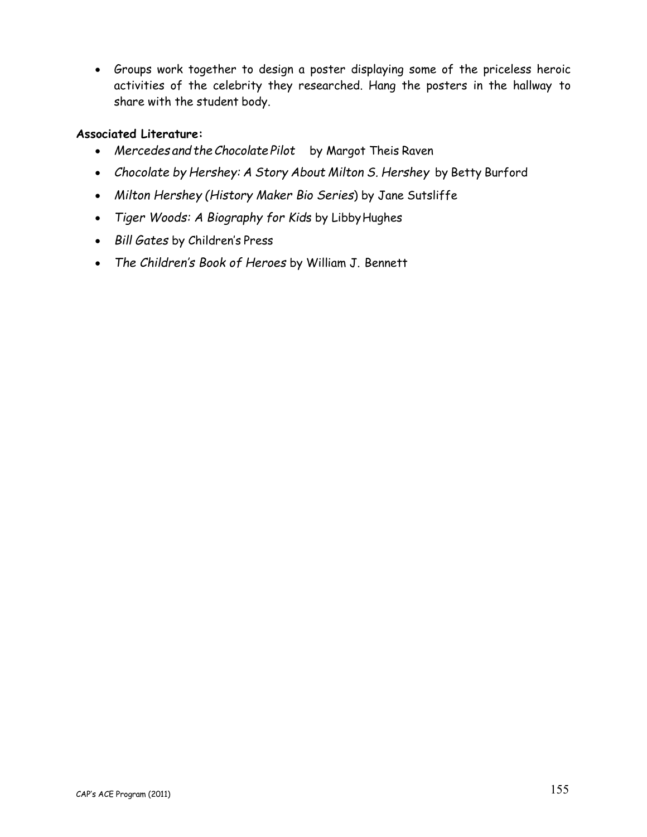• Groups work together to design a poster displaying some of the priceless heroic activities of the celebrity they researched. Hang the posters in the hallway to share with the student body.

#### **Associated Literature:**

- Mercedes and the Chocolate Pilot by Margot Theis Raven
- Chocolate by Hershey: A Story About Milton S. Hershey by Betty Burford
- Milton Hershey (History Maker Bio Series) by Jane Sutsliffe
- Tiger Woods: A Biography for Kids by Libby Hughes
- Bill Gates by Children's Press
- The Children's Book of Heroes by William J. Bennett